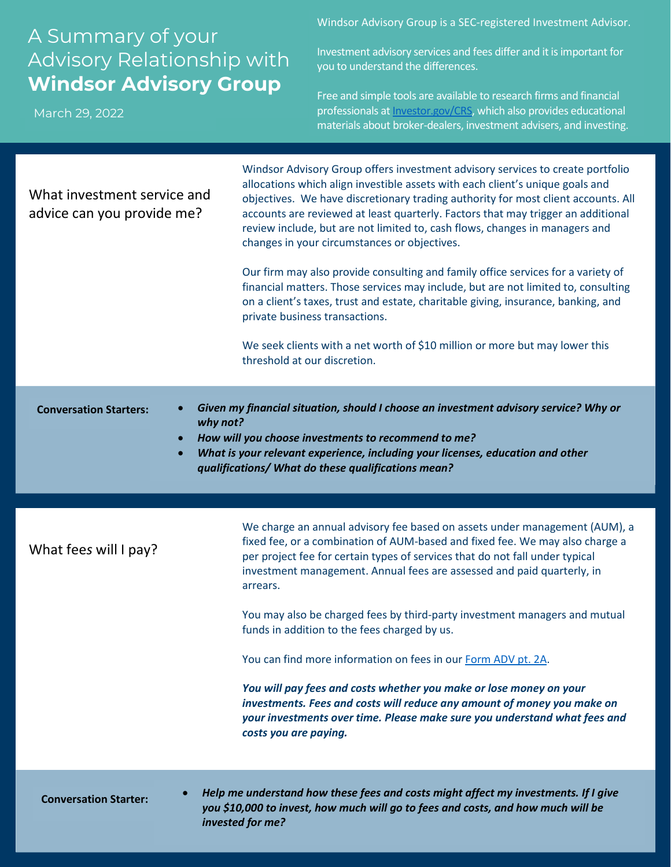## A Summary of your Advisory Relationship with **Windsor Advisory Group**

March 29, 2022

Windsor Advisory Group is a SEC-registered Investment Advisor.

Investment advisory services and fees differ and it is important for you to understand the differences.

Free and simple tools are available to research firms and financial professionals a[t Investor.gov/CRS,](https://www.investor.gov/home/welcome-investor-gov-crs) which also provides educational materials about broker-dealers, investment advisers, and investing.

| What investment service and<br>advice can you provide me?                                                                                                                                                                                                                                                                                     | Windsor Advisory Group offers investment advisory services to create portfolio<br>allocations which align investible assets with each client's unique goals and<br>objectives. We have discretionary trading authority for most client accounts. All<br>accounts are reviewed at least quarterly. Factors that may trigger an additional<br>review include, but are not limited to, cash flows, changes in managers and<br>changes in your circumstances or objectives.<br>Our firm may also provide consulting and family office services for a variety of<br>financial matters. Those services may include, but are not limited to, consulting<br>on a client's taxes, trust and estate, charitable giving, insurance, banking, and<br>private business transactions.<br>We seek clients with a net worth of \$10 million or more but may lower this<br>threshold at our discretion. |
|-----------------------------------------------------------------------------------------------------------------------------------------------------------------------------------------------------------------------------------------------------------------------------------------------------------------------------------------------|----------------------------------------------------------------------------------------------------------------------------------------------------------------------------------------------------------------------------------------------------------------------------------------------------------------------------------------------------------------------------------------------------------------------------------------------------------------------------------------------------------------------------------------------------------------------------------------------------------------------------------------------------------------------------------------------------------------------------------------------------------------------------------------------------------------------------------------------------------------------------------------|
| Given my financial situation, should I choose an investment advisory service? Why or<br><b>Conversation Starters:</b><br>why not?<br>How will you choose investments to recommend to me?<br>$\bullet$<br>What is your relevant experience, including your licenses, education and other<br>qualifications/ What do these qualifications mean? |                                                                                                                                                                                                                                                                                                                                                                                                                                                                                                                                                                                                                                                                                                                                                                                                                                                                                        |
|                                                                                                                                                                                                                                                                                                                                               |                                                                                                                                                                                                                                                                                                                                                                                                                                                                                                                                                                                                                                                                                                                                                                                                                                                                                        |
| What fees will I pay?                                                                                                                                                                                                                                                                                                                         | We charge an annual advisory fee based on assets under management (AUM), a<br>fixed fee, or a combination of AUM-based and fixed fee. We may also charge a<br>per project fee for certain types of services that do not fall under typical<br>investment management. Annual fees are assessed and paid quarterly, in<br>arrears.                                                                                                                                                                                                                                                                                                                                                                                                                                                                                                                                                       |
|                                                                                                                                                                                                                                                                                                                                               | You may also be charged fees by third-party investment managers and mutual<br>funds in addition to the fees charged by us.                                                                                                                                                                                                                                                                                                                                                                                                                                                                                                                                                                                                                                                                                                                                                             |
|                                                                                                                                                                                                                                                                                                                                               | You can find more information on fees in our Form ADV pt. 2A.                                                                                                                                                                                                                                                                                                                                                                                                                                                                                                                                                                                                                                                                                                                                                                                                                          |
|                                                                                                                                                                                                                                                                                                                                               | You will pay fees and costs whether you make or lose money on your<br>investments. Fees and costs will reduce any amount of money you make on<br>your investments over time. Please make sure you understand what fees and<br>costs you are paying.                                                                                                                                                                                                                                                                                                                                                                                                                                                                                                                                                                                                                                    |
| <b>Conversation Starter:</b>                                                                                                                                                                                                                                                                                                                  | Help me understand how these fees and costs might affect my investments. If I give<br>you \$10,000 to invest, how much will go to fees and costs, and how much will be<br>invested for me?                                                                                                                                                                                                                                                                                                                                                                                                                                                                                                                                                                                                                                                                                             |